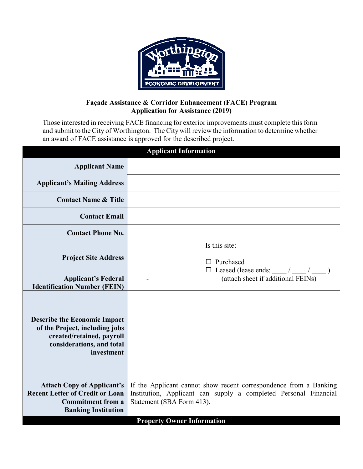

## **Façade Assistance & Corridor Enhancement (FACE) Program Application for Assistance (2019)**

Those interested in receiving FACE financing for exterior improvements must complete this form and submit to the City of Worthington. The City will review the information to determine whether an award of FACE assistance is approved for the described project.

| <b>Applicant Information</b>                                                                                                                                                         |                                                                                                                                                                    |  |
|--------------------------------------------------------------------------------------------------------------------------------------------------------------------------------------|--------------------------------------------------------------------------------------------------------------------------------------------------------------------|--|
| <b>Applicant Name</b>                                                                                                                                                                |                                                                                                                                                                    |  |
| <b>Applicant's Mailing Address</b>                                                                                                                                                   |                                                                                                                                                                    |  |
| <b>Contact Name &amp; Title</b>                                                                                                                                                      |                                                                                                                                                                    |  |
| <b>Contact Email</b>                                                                                                                                                                 |                                                                                                                                                                    |  |
| <b>Contact Phone No.</b>                                                                                                                                                             |                                                                                                                                                                    |  |
|                                                                                                                                                                                      | Is this site:                                                                                                                                                      |  |
| <b>Project Site Address</b>                                                                                                                                                          | $\Box$ Purchased<br>$\square$ Leased (lease ends:                                                                                                                  |  |
| <b>Applicant's Federal</b>                                                                                                                                                           | (attach sheet if additional FEINs)                                                                                                                                 |  |
| <b>Identification Number (FEIN)</b><br><b>Describe the Economic Impact</b><br>of the Project, including jobs<br>created/retained, payroll<br>considerations, and total<br>investment |                                                                                                                                                                    |  |
| <b>Attach Copy of Applicant's</b><br><b>Recent Letter of Credit or Loan</b><br><b>Commitment from a</b><br><b>Banking Institution</b>                                                | If the Applicant cannot show recent correspondence from a Banking<br>Institution, Applicant can supply a completed Personal Financial<br>Statement (SBA Form 413). |  |
|                                                                                                                                                                                      | <b>Property Owner Information</b>                                                                                                                                  |  |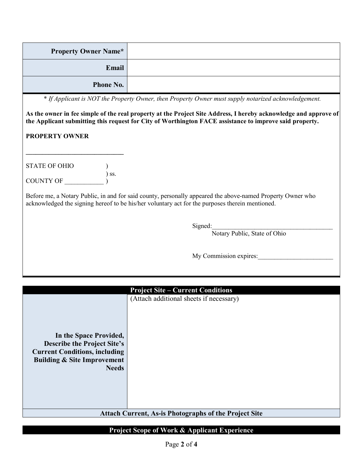| <b>Property Owner Name*</b> |  |
|-----------------------------|--|
| Email                       |  |
| <b>Phone No.</b>            |  |

\* *If Applicant is NOT the Property Owner, then Property Owner must supply notarized acknowledgement.*

**As the owner in fee simple of the real property at the Project Site Address, I hereby acknowledge and approve of the Applicant submitting this request for City of Worthington FACE assistance to improve said property.**

## **PROPERTY OWNER**

| STATE OF OHIO |                              |
|---------------|------------------------------|
|               | $\overline{\phantom{a}}$ SS. |
| COUNTY OF     |                              |

**\_\_\_\_\_\_\_\_\_\_\_\_\_\_\_\_\_\_\_\_\_\_\_\_\_\_\_\_\_\_** 

Before me, a Notary Public, in and for said county, personally appeared the above-named Property Owner who acknowledged the signing hereof to be his/her voluntary act for the purposes therein mentioned.

 $Signed:$ 

Notary Public, State of Ohio

| My Commission expires: |
|------------------------|
|------------------------|

| In the Space Provided,<br><b>Describe the Project Site's</b><br><b>Current Conditions, including</b><br><b>Building &amp; Site Improvement</b><br><b>Needs</b> |  | <b>Project Site – Current Conditions</b><br>(Attach additional sheets if necessary) |
|----------------------------------------------------------------------------------------------------------------------------------------------------------------|--|-------------------------------------------------------------------------------------|
| <b>Attach Current, As-is Photographs of the Project Site</b>                                                                                                   |  |                                                                                     |

## **Project Scope of Work & Applicant Experience**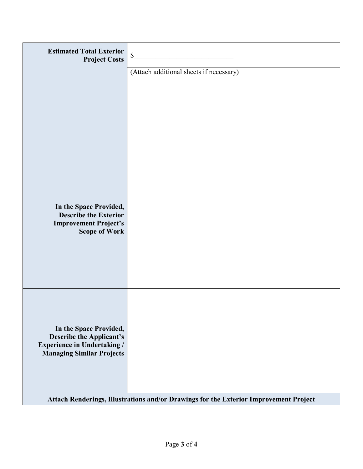| <b>Estimated Total Exterior</b><br><b>Project Costs</b>                                                                             | $\mathbb{S}$                            |
|-------------------------------------------------------------------------------------------------------------------------------------|-----------------------------------------|
|                                                                                                                                     | (Attach additional sheets if necessary) |
| In the Space Provided,<br><b>Describe the Exterior</b><br><b>Improvement Project's</b><br><b>Scope of Work</b>                      |                                         |
| In the Space Provided,<br><b>Describe the Applicant's</b><br><b>Experience in Undertaking /</b><br><b>Managing Similar Projects</b> |                                         |
| Attach Renderings, Illustrations and/or Drawings for the Exterior Improvement Project                                               |                                         |